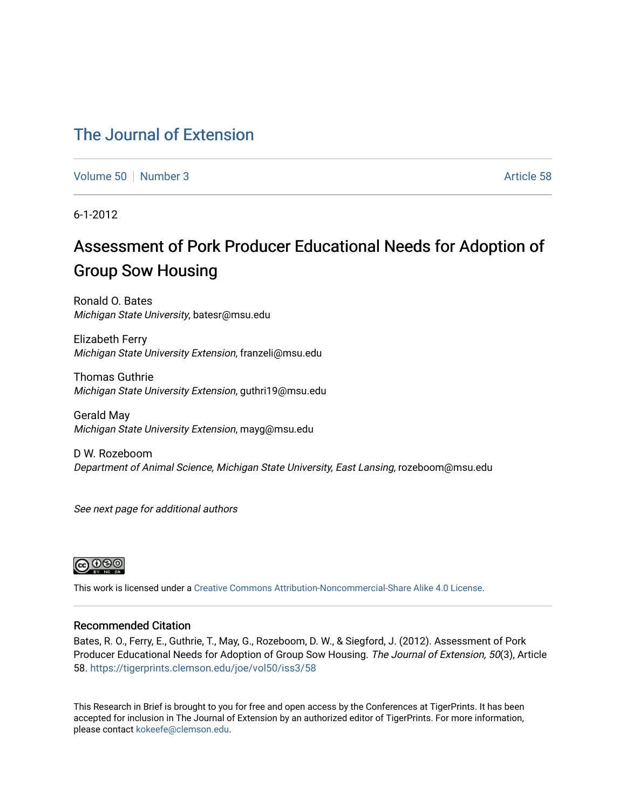## [The Journal of Extension](https://tigerprints.clemson.edu/joe)

[Volume 50](https://tigerprints.clemson.edu/joe/vol50) [Number 3](https://tigerprints.clemson.edu/joe/vol50/iss3) Article 58

6-1-2012

# Assessment of Pork Producer Educational Needs for Adoption of Group Sow Housing

Ronald O. Bates Michigan State University, batesr@msu.edu

Elizabeth Ferry Michigan State University Extension, franzeli@msu.edu

Thomas Guthrie Michigan State University Extension, guthri19@msu.edu

Gerald May Michigan State University Extension, mayg@msu.edu

D W. Rozeboom Department of Animal Science, Michigan State University, East Lansing, rozeboom@msu.edu

See next page for additional authors



This work is licensed under a [Creative Commons Attribution-Noncommercial-Share Alike 4.0 License.](https://creativecommons.org/licenses/by-nc-sa/4.0/)

#### Recommended Citation

Bates, R. O., Ferry, E., Guthrie, T., May, G., Rozeboom, D. W., & Siegford, J. (2012). Assessment of Pork Producer Educational Needs for Adoption of Group Sow Housing. The Journal of Extension, 50(3), Article 58.<https://tigerprints.clemson.edu/joe/vol50/iss3/58>

This Research in Brief is brought to you for free and open access by the Conferences at TigerPrints. It has been accepted for inclusion in The Journal of Extension by an authorized editor of TigerPrints. For more information, please contact [kokeefe@clemson.edu](mailto:kokeefe@clemson.edu).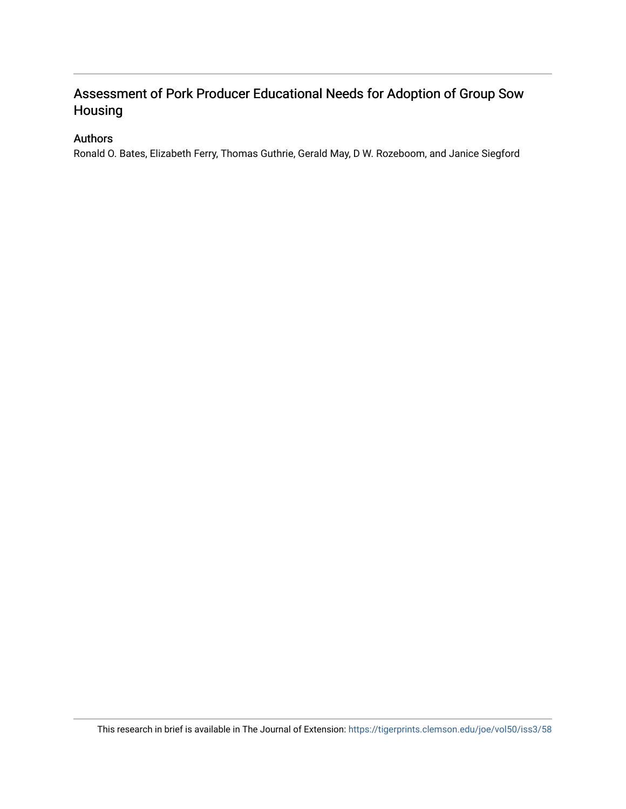## Assessment of Pork Producer Educational Needs for Adoption of Group Sow Housing

### Authors

Ronald O. Bates, Elizabeth Ferry, Thomas Guthrie, Gerald May, D W. Rozeboom, and Janice Siegford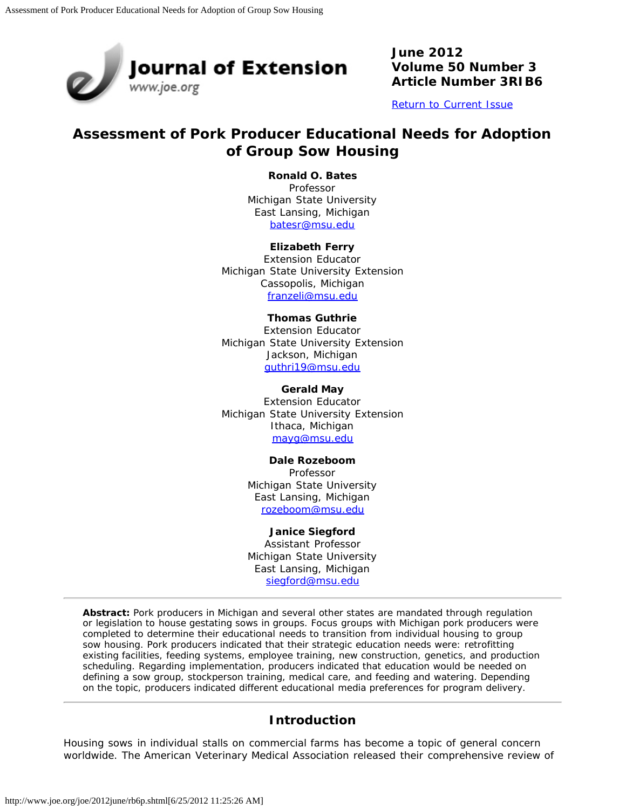

**June 2012 Volume 50 Number 3 Article Number 3RIB6**

[Return to Current Issue](http://www.joe.org/joe/2012june/)

## **Assessment of Pork Producer Educational Needs for Adoption of Group Sow Housing**

#### **Ronald O. Bates**

Professor Michigan State University East Lansing, Michigan [batesr@msu.edu](mailto:batesr@msu.edu)

#### **Elizabeth Ferry**

Extension Educator Michigan State University Extension Cassopolis, Michigan [franzeli@msu.edu](mailto:franzeli@msu.edu)

#### **Thomas Guthrie**

Extension Educator Michigan State University Extension Jackson, Michigan [guthri19@msu.edu](mailto:guthri19@msu.edu)

**Gerald May** Extension Educator Michigan State University Extension Ithaca, Michigan [mayg@msu.edu](mailto:mayg@msu.edu)

#### **Dale Rozeboom**

Professor Michigan State University East Lansing, Michigan [rozeboom@msu.edu](mailto:rozeboom@msu.edu)

#### **Janice Siegford**

Assistant Professor Michigan State University East Lansing, Michigan [siegford@msu.edu](mailto:siegford@msu.edu)

*Abstract: Pork producers in Michigan and several other states are mandated through regulation or legislation to house gestating sows in groups. Focus groups with Michigan pork producers were completed to determine their educational needs to transition from individual housing to group sow housing. Pork producers indicated that their strategic education needs were: retrofitting existing facilities, feeding systems, employee training, new construction, genetics, and production scheduling. Regarding implementation, producers indicated that education would be needed on defining a sow group, stockperson training, medical care, and feeding and watering. Depending on the topic, producers indicated different educational media preferences for program delivery.*

#### **Introduction**

Housing sows in individual stalls on commercial farms has become a topic of general concern worldwide. The American Veterinary Medical Association released their comprehensive review of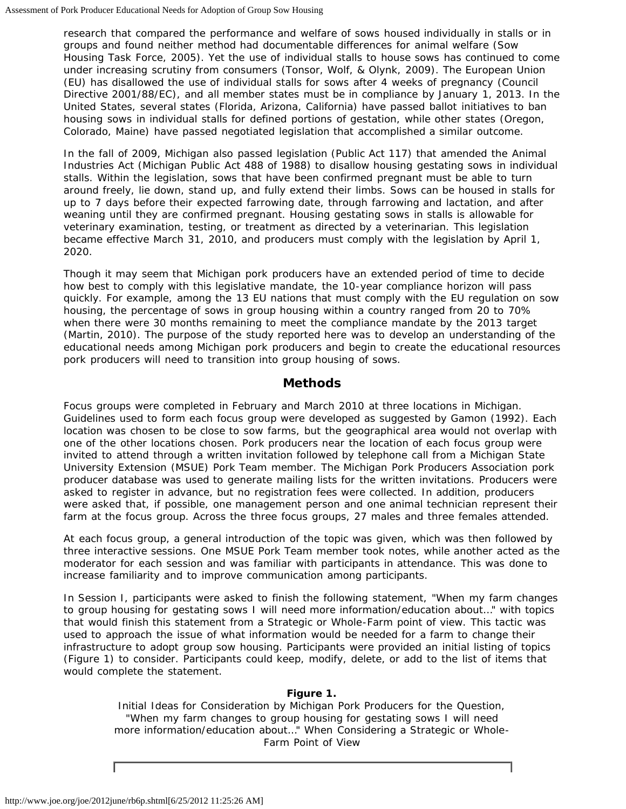research that compared the performance and welfare of sows housed individually in stalls or in groups and found neither method had documentable differences for animal welfare (Sow Housing Task Force, 2005). Yet the use of individual stalls to house sows has continued to come under increasing scrutiny from consumers (Tonsor, Wolf, & Olynk, 2009). The European Union (EU) has disallowed the use of individual stalls for sows after 4 weeks of pregnancy (Council Directive 2001/88/EC), and all member states must be in compliance by January 1, 2013. In the United States, several states (Florida, Arizona, California) have passed ballot initiatives to ban housing sows in individual stalls for defined portions of gestation, while other states (Oregon, Colorado, Maine) have passed negotiated legislation that accomplished a similar outcome.

In the fall of 2009, Michigan also passed legislation (Public Act 117) that amended the Animal Industries Act (Michigan Public Act 488 of 1988) to disallow housing gestating sows in individual stalls. Within the legislation, sows that have been confirmed pregnant must be able to turn around freely, lie down, stand up, and fully extend their limbs. Sows can be housed in stalls for up to 7 days before their expected farrowing date, through farrowing and lactation, and after weaning until they are confirmed pregnant. Housing gestating sows in stalls is allowable for veterinary examination, testing, or treatment as directed by a veterinarian. This legislation became effective March 31, 2010, and producers must comply with the legislation by April 1, 2020.

Though it may seem that Michigan pork producers have an extended period of time to decide how best to comply with this legislative mandate, the 10-year compliance horizon will pass quickly. For example, among the 13 EU nations that must comply with the EU regulation on sow housing, the percentage of sows in group housing within a country ranged from 20 to 70% when there were 30 months remaining to meet the compliance mandate by the 2013 target (Martin, 2010). The purpose of the study reported here was to develop an understanding of the educational needs among Michigan pork producers and begin to create the educational resources pork producers will need to transition into group housing of sows.

### **Methods**

Focus groups were completed in February and March 2010 at three locations in Michigan. Guidelines used to form each focus group were developed as suggested by Gamon (1992). Each location was chosen to be close to sow farms, but the geographical area would not overlap with one of the other locations chosen. Pork producers near the location of each focus group were invited to attend through a written invitation followed by telephone call from a Michigan State University Extension (MSUE) Pork Team member. The Michigan Pork Producers Association pork producer database was used to generate mailing lists for the written invitations. Producers were asked to register in advance, but no registration fees were collected. In addition, producers were asked that, if possible, one management person and one animal technician represent their farm at the focus group. Across the three focus groups, 27 males and three females attended.

At each focus group, a general introduction of the topic was given, which was then followed by three interactive sessions. One MSUE Pork Team member took notes, while another acted as the moderator for each session and was familiar with participants in attendance. This was done to increase familiarity and to improve communication among participants.

In Session I, participants were asked to finish the following statement, *"When my farm changes to group housing for gestating sows I will need more information/education about…"* with topics that would finish this statement from a Strategic or Whole-Farm point of view. This tactic was used to approach the issue of what information would be needed for a farm to change their infrastructure to adopt group sow housing. Participants were provided an initial listing of topics (Figure 1) to consider. Participants could keep, modify, delete, or add to the list of items that would complete the statement.

#### **Figure 1.**

Initial Ideas for Consideration by Michigan Pork Producers for the Question, "*When my farm changes to group housing for gestating sows I will need more information/education about…"* When Considering a Strategic or Whole-Farm Point of View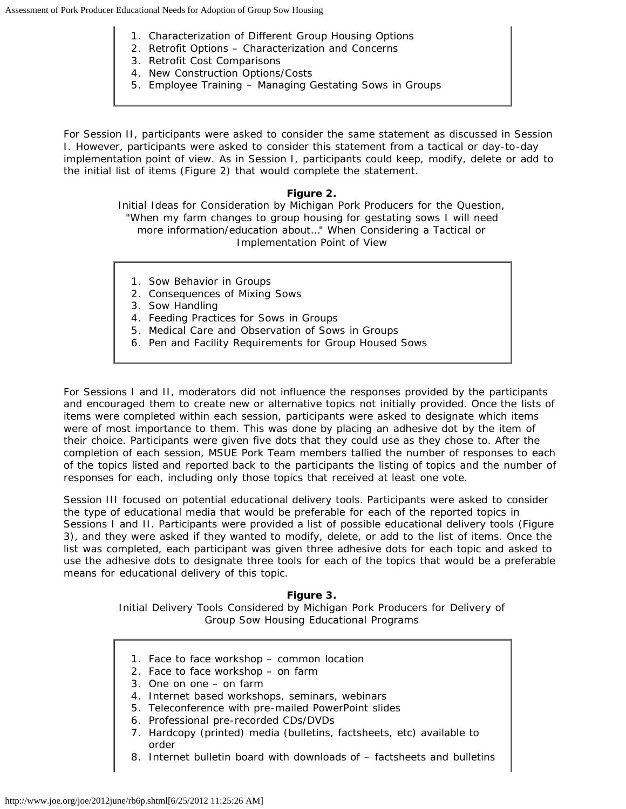- 1. Characterization of Different Group Housing Options
- 2. Retrofit Options Characterization and Concerns
- 3. Retrofit Cost Comparisons
- 4. New Construction Options/Costs
- 5. Employee Training Managing Gestating Sows in Groups

For Session II, participants were asked to consider the same statement as discussed in Session I. However, participants were asked to consider this statement from a tactical or day-to-day implementation point of view. As in Session I, participants could keep, modify, delete or add to the initial list of items (Figure 2) that would complete the statement.

#### **Figure 2.**

Initial Ideas for Consideration by Michigan Pork Producers for the Question, "*When my farm changes to group housing for gestating sows I will need more information/education about…"* When Considering a Tactical or Implementation Point of View

- 1. Sow Behavior in Groups
- 2. Consequences of Mixing Sows
- 3. Sow Handling
- 4. Feeding Practices for Sows in Groups
- 5. Medical Care and Observation of Sows in Groups
- 6. Pen and Facility Requirements for Group Housed Sows

For Sessions I and II, moderators did not influence the responses provided by the participants and encouraged them to create new or alternative topics not initially provided. Once the lists of items were completed within each session, participants were asked to designate which items were of most importance to them. This was done by placing an adhesive dot by the item of their choice. Participants were given five dots that they could use as they chose to. After the completion of each session, MSUE Pork Team members tallied the number of responses to each of the topics listed and reported back to the participants the listing of topics and the number of responses for each, including only those topics that received at least one vote.

Session III focused on potential educational delivery tools. Participants were asked to consider the type of educational media that would be preferable for each of the reported topics in Sessions I and II. Participants were provided a list of possible educational delivery tools (Figure 3), and they were asked if they wanted to modify, delete, or add to the list of items. Once the list was completed, each participant was given three adhesive dots for each topic and asked to use the adhesive dots to designate three tools for each of the topics that would be a preferable means for educational delivery of this topic.

#### **Figure 3.** Initial Delivery Tools Considered by Michigan Pork Producers for Delivery of Group Sow Housing Educational Programs

- 1. Face to face workshop common location
- 2. Face to face workshop on farm
- 3. One on one on farm
- 4. Internet based workshops, seminars, webinars
- 5. Teleconference with pre-mailed PowerPoint slides
- 6. Professional pre-recorded CDs/DVDs
- 7. Hardcopy (printed) media (bulletins, factsheets, etc) available to order
- 8. Internet bulletin board with downloads of factsheets and bulletins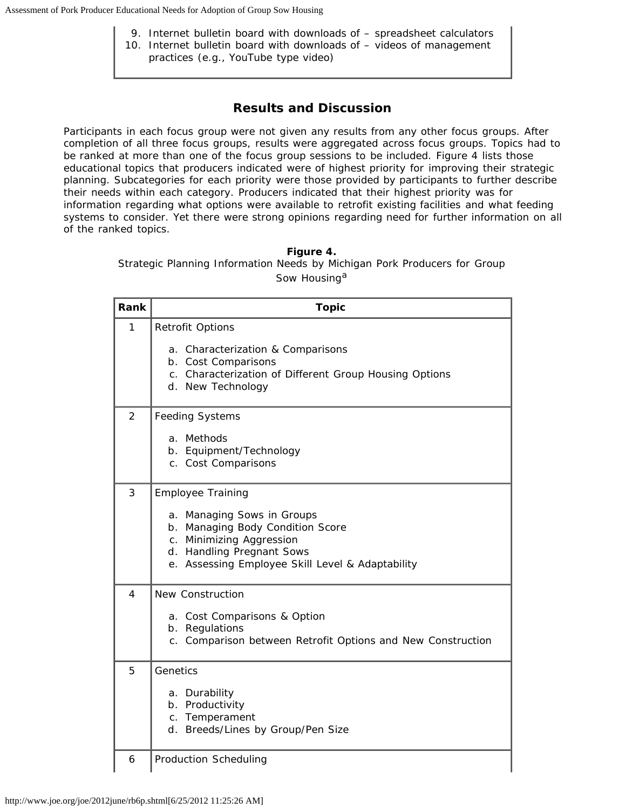- 9. Internet bulletin board with downloads of spreadsheet calculators 10. Internet bulletin board with downloads of – videos of management
	- practices (e.g., YouTube type video)

## **Results and Discussion**

Participants in each focus group were not given any results from any other focus groups. After completion of all three focus groups, results were aggregated across focus groups. Topics had to be ranked at more than one of the focus group sessions to be included. Figure 4 lists those educational topics that producers indicated were of highest priority for improving their strategic planning. Subcategories for each priority were those provided by participants to further describe their needs within each category. Producers indicated that their highest priority was for information regarding what options were available to retrofit existing facilities and what feeding systems to consider. Yet there were strong opinions regarding need for further information on all of the ranked topics.

#### **Figure 4.**

Strategic Planning Information Needs by Michigan Pork Producers for Group Sow Housing<sup>a</sup>

| Rank           | <b>Topic</b>                                                                                                                                                                                     |
|----------------|--------------------------------------------------------------------------------------------------------------------------------------------------------------------------------------------------|
| 1              | <b>Retrofit Options</b><br>a. Characterization & Comparisons<br>b. Cost Comparisons<br>c. Characterization of Different Group Housing Options<br>d. New Technology                               |
| $\overline{2}$ | <b>Feeding Systems</b><br>a. Methods<br>b. Equipment/Technology<br>c. Cost Comparisons                                                                                                           |
| 3              | Employee Training<br>a. Managing Sows in Groups<br>b. Managing Body Condition Score<br>c. Minimizing Aggression<br>d. Handling Pregnant Sows<br>e. Assessing Employee Skill Level & Adaptability |
| $\overline{4}$ | <b>New Construction</b><br>a. Cost Comparisons & Option<br>b. Regulations<br>c. Comparison between Retrofit Options and New Construction                                                         |
| 5              | Genetics<br>a. Durability<br>b. Productivity<br>c. Temperament<br>d. Breeds/Lines by Group/Pen Size                                                                                              |
| 6              | <b>Production Scheduling</b>                                                                                                                                                                     |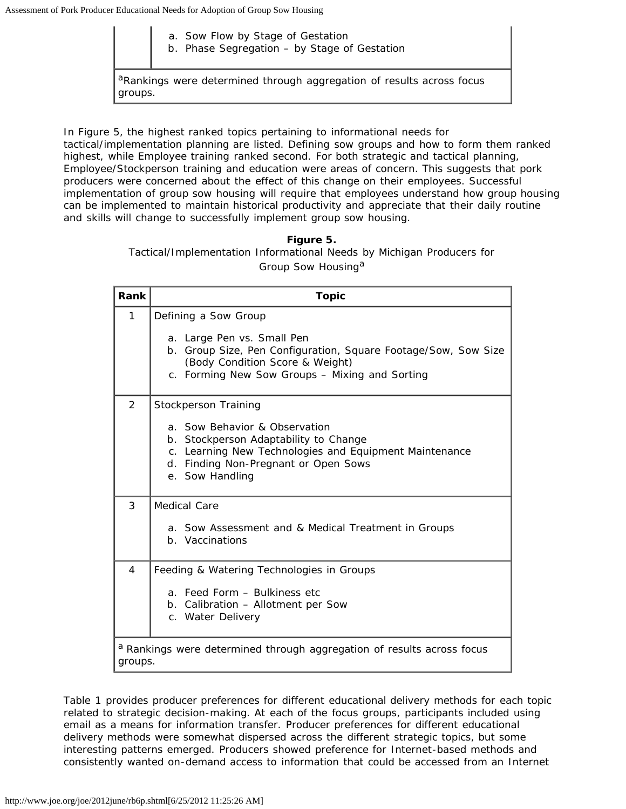- a. Sow Flow by Stage of Gestation
- b. Phase Segregation by Stage of Gestation

aRankings were determined through aggregation of results across focus groups.

In Figure 5, the highest ranked topics pertaining to informational needs for

tactical/implementation planning are listed. Defining sow groups and how to form them ranked highest, while Employee training ranked second. For both strategic and tactical planning, Employee/Stockperson training and education were areas of concern. This suggests that pork producers were concerned about the effect of this change on their employees. Successful implementation of group sow housing will require that employees understand how group housing can be implemented to maintain historical productivity and appreciate that their daily routine and skills will change to successfully implement group sow housing.

> **Figure 5.** Tactical/Implementation Informational Needs by Michigan Producers for Group Sow Housing<sup>a</sup>

| Rank    | <b>Topic</b>                                                                                                                                                                                                        |
|---------|---------------------------------------------------------------------------------------------------------------------------------------------------------------------------------------------------------------------|
| 1       | Defining a Sow Group<br>a. Large Pen vs. Small Pen<br>b. Group Size, Pen Configuration, Square Footage/Sow, Sow Size<br>(Body Condition Score & Weight)<br>c. Forming New Sow Groups - Mixing and Sorting           |
| 2       | Stockperson Training<br>a. Sow Behavior & Observation<br>b. Stockperson Adaptability to Change<br>c. Learning New Technologies and Equipment Maintenance<br>d. Finding Non-Pregnant or Open Sows<br>e. Sow Handling |
| 3       | Medical Care<br>a. Sow Assessment and & Medical Treatment in Groups<br>b. Vaccinations                                                                                                                              |
| 4       | Feeding & Watering Technologies in Groups<br>a. Feed Form - Bulkiness etc<br>b. Calibration - Allotment per Sow<br>c. Water Delivery                                                                                |
| groups. | <sup>a</sup> Rankings were determined through aggregation of results across focus                                                                                                                                   |

Table 1 provides producer preferences for different educational delivery methods for each topic related to strategic decision-making. At each of the focus groups, participants included using email as a means for information transfer. Producer preferences for different educational delivery methods were somewhat dispersed across the different strategic topics, but some interesting patterns emerged. Producers showed preference for Internet-based methods and consistently wanted on-demand access to information that could be accessed from an Internet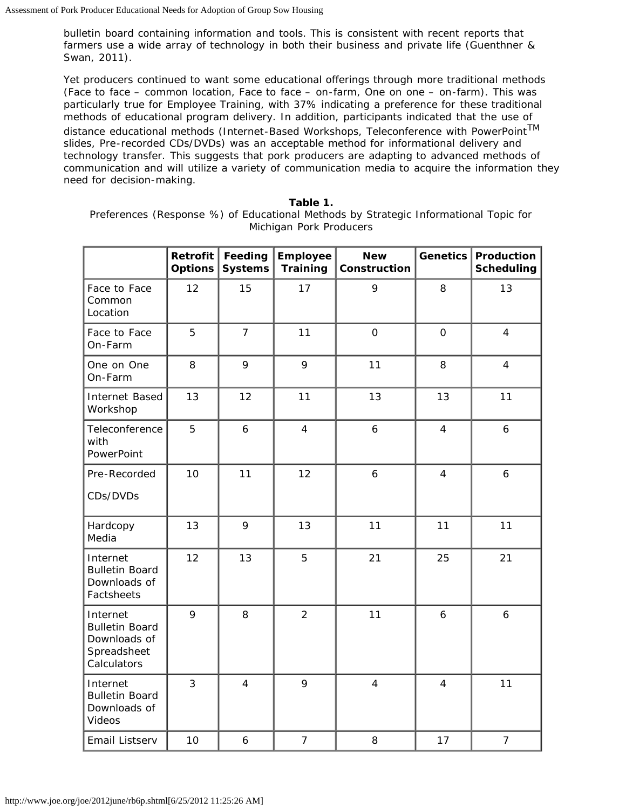bulletin board containing information and tools. This is consistent with recent reports that farmers use a wide array of technology in both their business and private life (Guenthner & Swan, 2011).

Yet producers continued to want some educational offerings through more traditional methods (Face to face – common location, Face to face – on-farm, One on one – on-farm). This was particularly true for Employee Training, with 37% indicating a preference for these traditional methods of educational program delivery. In addition, participants indicated that the use of distance educational methods (Internet-Based Workshops, Teleconference with PowerPointTM slides, Pre-recorded CDs/DVDs) was an acceptable method for informational delivery and technology transfer. This suggests that pork producers are adapting to advanced methods of communication and will utilize a variety of communication media to acquire the information they need for decision-making.

|                                                                                 | <b>Retrofit</b><br><b>Options</b> | Feeding<br><b>Systems</b> | <b>Employee</b><br><b>Training</b> | <b>New</b><br>Construction | <b>Genetics</b>     | Production<br>Scheduling |
|---------------------------------------------------------------------------------|-----------------------------------|---------------------------|------------------------------------|----------------------------|---------------------|--------------------------|
| Face to Face<br>Common<br>Location                                              | 12                                | 15                        | 17                                 | 9                          | 8                   | 13                       |
| Face to Face<br>On-Farm                                                         | 5                                 | $\overline{7}$            | 11                                 | $\overline{O}$             | $\mathsf{O}\xspace$ | $\overline{4}$           |
| One on One<br>On-Farm                                                           | 8                                 | 9                         | 9                                  | 11                         | 8                   | $\overline{4}$           |
| Internet Based<br>Workshop                                                      | 13                                | 12                        | 11                                 | 13                         | 13                  | 11                       |
| Teleconference<br>with<br>PowerPoint                                            | 5                                 | 6                         | $\overline{4}$                     | $\boldsymbol{6}$           | $\overline{4}$      | 6                        |
| Pre-Recorded<br>CDs/DVDs                                                        | 10                                | 11                        | 12                                 | $\boldsymbol{6}$           | $\overline{4}$      | $\ddot{\mathbf{6}}$      |
| Hardcopy<br>Media                                                               | 13                                | 9                         | 13                                 | 11                         | 11                  | 11                       |
| Internet<br><b>Bulletin Board</b><br>Downloads of<br>Factsheets                 | 12                                | 13                        | 5                                  | 21                         | 25                  | 21                       |
| Internet<br><b>Bulletin Board</b><br>Downloads of<br>Spreadsheet<br>Calculators | 9                                 | 8                         | $\overline{2}$                     | 11                         | $\boldsymbol{6}$    | $\boldsymbol{6}$         |
| Internet<br><b>Bulletin Board</b><br>Downloads of<br>Videos                     | 3                                 | $\overline{4}$            | 9                                  | $\overline{4}$             | $\overline{4}$      | 11                       |
| Email Listserv                                                                  | 10                                | 6                         | $\overline{7}$                     | 8                          | 17                  | $\overline{7}$           |

**Table 1.**

Preferences (Response %) of Educational Methods by Strategic Informational Topic for Michigan Pork Producers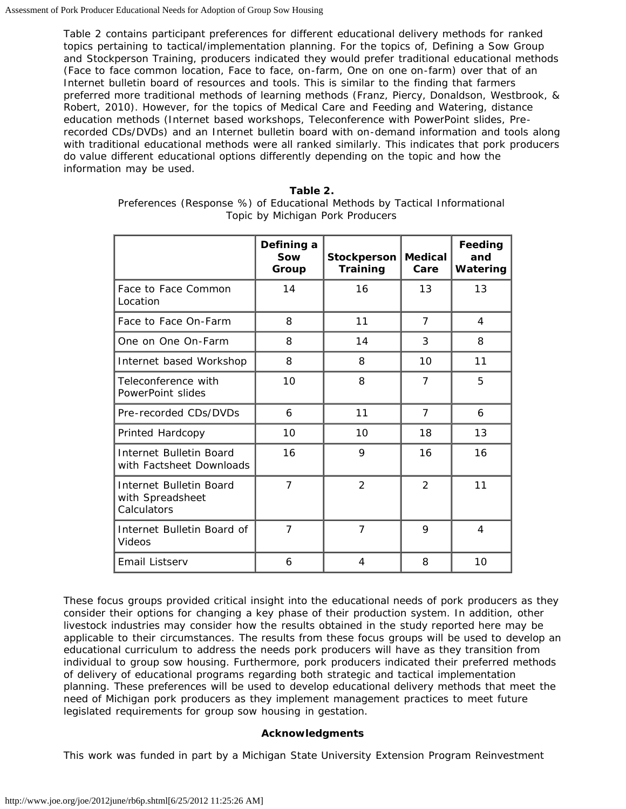Table 2 contains participant preferences for different educational delivery methods for ranked topics pertaining to tactical/implementation planning. For the topics of, Defining a Sow Group and Stockperson Training, producers indicated they would prefer traditional educational methods (Face to face common location, Face to face, on-farm, One on one on-farm) over that of an Internet bulletin board of resources and tools. This is similar to the finding that farmers preferred more traditional methods of learning methods (Franz, Piercy, Donaldson, Westbrook, & Robert, 2010). However, for the topics of Medical Care and Feeding and Watering, distance education methods (Internet based workshops, Teleconference with PowerPoint slides, Prerecorded CDs/DVDs) and an Internet bulletin board with on-demand information and tools along with traditional educational methods were all ranked similarly. This indicates that pork producers do value different educational options differently depending on the topic and how the information may be used.

| Table 2. |                                                                           |  |  |  |  |  |  |
|----------|---------------------------------------------------------------------------|--|--|--|--|--|--|
|          | Preferences (Response %) of Educational Methods by Tactical Informational |  |  |  |  |  |  |
|          | Topic by Michigan Pork Producers                                          |  |  |  |  |  |  |

|                                                            | Defining a<br>Sow<br>Group | Stockperson<br>Training | <b>Medical</b><br>Care | Feeding<br>and<br>Watering |
|------------------------------------------------------------|----------------------------|-------------------------|------------------------|----------------------------|
| Face to Face Common<br>Location                            | 14                         | 16                      | 13                     | 13                         |
| Face to Face On-Farm                                       | 8                          | 11                      | $\overline{7}$         | 4                          |
| One on One On-Farm                                         | 8                          | 14                      | 3                      | 8                          |
| Internet based Workshop                                    | 8                          | 8                       | 10                     | 11                         |
| Teleconference with<br>PowerPoint slides                   | 10                         | 8                       | $\overline{7}$         | 5                          |
| Pre-recorded CDs/DVDs                                      | 6                          | 11                      | $\overline{7}$         | 6                          |
| Printed Hardcopy                                           | 10                         | 10                      | 18                     | 13                         |
| Internet Bulletin Board<br>with Factsheet Downloads        | 16                         | 9                       | 16                     | 16                         |
| Internet Bulletin Board<br>with Spreadsheet<br>Calculators | $\overline{7}$             | $\mathcal{P}$           | $\mathcal{P}$          | 11                         |
| Internet Bulletin Board of<br>Videos                       | $\overline{7}$             | $\overline{7}$          | 9                      | 4                          |
| Email Listserv                                             | 6                          | 4                       | 8                      | 10                         |

These focus groups provided critical insight into the educational needs of pork producers as they consider their options for changing a key phase of their production system. In addition, other livestock industries may consider how the results obtained in the study reported here may be applicable to their circumstances. The results from these focus groups will be used to develop an educational curriculum to address the needs pork producers will have as they transition from individual to group sow housing. Furthermore, pork producers indicated their preferred methods of delivery of educational programs regarding both strategic and tactical implementation planning. These preferences will be used to develop educational delivery methods that meet the need of Michigan pork producers as they implement management practices to meet future legislated requirements for group sow housing in gestation.

#### **Acknowledgments**

This work was funded in part by a Michigan State University Extension Program Reinvestment